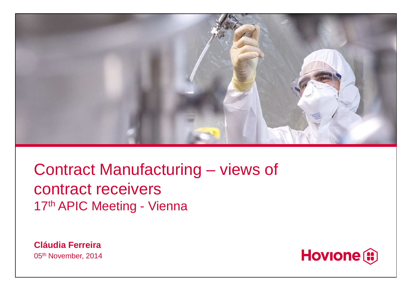

Contract Manufacturing – views of contract receivers17<sup>th</sup> APIC Meeting - Vienna

**Cláudia Ferreira**05<sup>th</sup> November, 2014

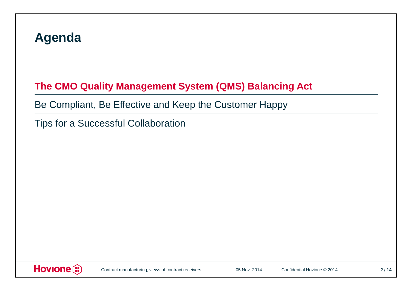### **Agenda**

## **The CMO Quality Management System (QMS) Balancing Act**

Be Compliant, Be Effective and Keep the Customer Happy

Tips for a Successful Collaboration

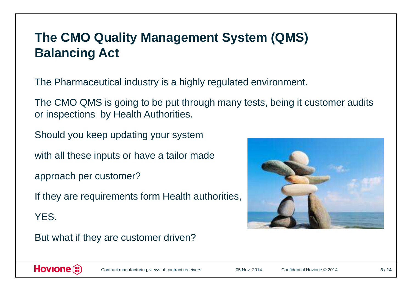## **The CMO Quality Management System (QMS) Balancing Act**

The Pharmaceutical industry is a highly regulated environment.

The CMO QMS is going to be put through many tests, being it customer audits or inspections by Health Authorities.

Should you keep updating your system

with all these inputs or have a tailor made

approach per customer?

If they are requirements form Health authorities,

YES.

But what if they are customer driven?



#### Hovione<sup>(i)</sup>

Contract manufacturing, views of contract receivers

05.Nov. 2014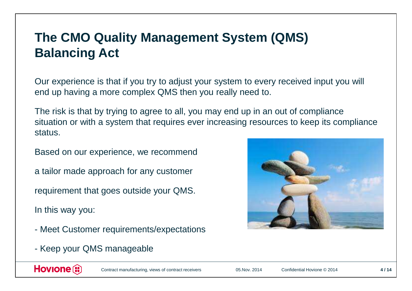## **The CMO Quality Management System (QMS) Balancing Act**

Our experience is that if you try to adjust your system to every received input you will end up having a more complex QMS then you really need to.

The risk is that by trying to agree to all, you may end up in an out of compliance situation or with a system that requires ever increasing resources to keep its compliance status.

Based on our experience, we recommend

a tailor made approach for any customer

requirement that goes outside your QMS.

In this way you:

- Meet Customer requirements/expectations
- Keep your QMS manageable



Hovione<sup>(i)</sup>

Contract manufacturing, views of contract receivers

05.Nov. 2014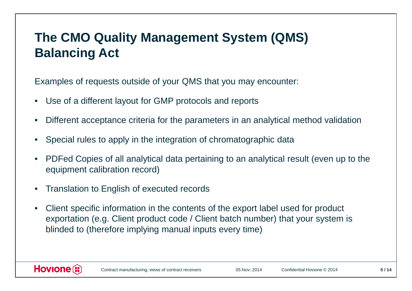## **The CMO Quality Management System (QMS) Balancing Act**

Examples of requests outside of your QMS that you may encounter:

- $\bullet$ Use of a different layout for GMP protocols and reports
- •Different acceptance criteria for the parameters in an analytical method validation
- •Special rules to apply in the integration of chromatographic data
- • PDFed Copies of all analytical data pertaining to an analytical result (even up to the equipment calibration record)
- •Translation to English of executed records
- • Client specific information in the contents of the export label used for product exportation (e.g. Client product code / Client batch number) that your system is blinded to (therefore implying manual inputs every time)

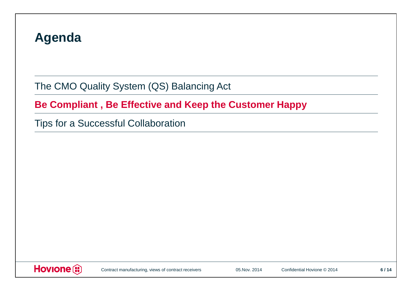### **Agenda**

The CMO Quality System (QS) Balancing Act

**Be Compliant , Be Effective and Keep the Customer Happy** 

Tips for a Successful Collaboration

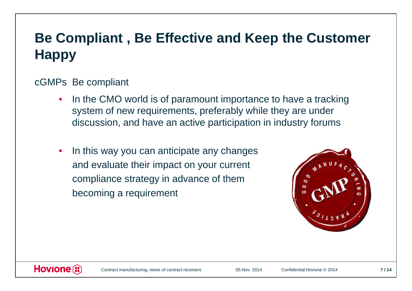## **Be Compliant , Be Effective and Keep the Customer Happy**

#### cGMPs Be compliant

- • In the CMO world is of paramount importance to have a tracking system of new requirements, preferably while they are under discussion, and have an active participation in industry forums
- $\bullet$  In this way you can anticipate any changes and evaluate their impact on your currentcompliance strategy in advance of thembecoming a requirement



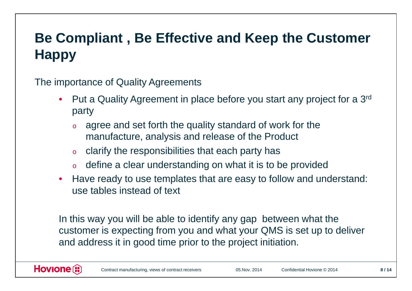## **Be Compliant , Be Effective and Keep the Customer Happy**

The importance of Quality Agreements

- Put a Quality Agreement in place before you start any project for a 3<sup>rd</sup> party
	- o agree and set forth the quality standard of work for the manufacture, analysis and release of the Product
	- oclarify the responsibilities that each party has
	- o $\,\circ\,\,$  define a clear understanding on what it is to be provided
- Have ready to use templates that are easy to follow and understand: use tables instead of text

In this way you will be able to identify any gap between what the customer is expecting from you and what your QMS is set up to deliver and address it in good time prior to the project initiation.

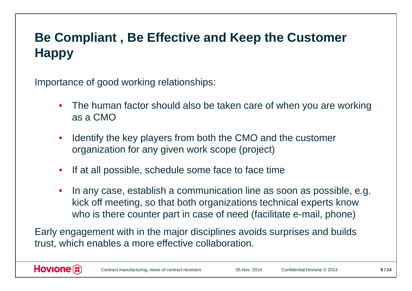## **Be Compliant , Be Effective and Keep the Customer Happy**

Importance of good working relationships:

- The human factor should also be taken care of when you are working as a CMO
- Identify the key players from both the CMO and the customer organization for any given work scope (project)
- $\bullet$ If at all possible, schedule some face to face time
- $\bullet$  In any case, establish a communication line as soon as possible, e.g. kick off meeting, so that both organizations technical experts know who is there counter part in case of need (facilitate e-mail, phone)

Early engagement with in the major disciplines avoids surprises and builds trust, which enables a more effective collaboration.

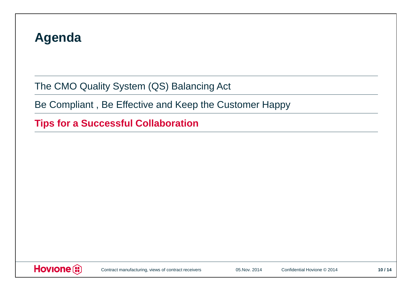### **Agenda**

The CMO Quality System (QS) Balancing Act

Be Compliant , Be Effective and Keep the Customer Happy

**Tips for a Successful Collaboration** 

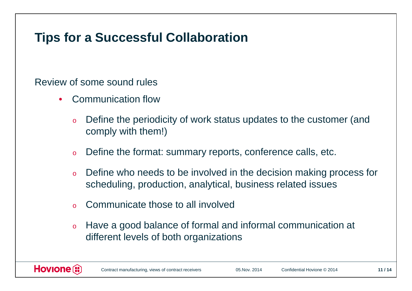## **Tips for a Successful Collaboration**

Review of some sound rules

- • Communication flow
	- o Define the periodicity of work status updates to the customer (and comply with them!)
	- oDefine the format: summary reports, conference calls, etc.
	- o Define who needs to be involved in the decision making process for scheduling, production, analytical, business related issues
	- oCommunicate those to all involved
	- o Have a good balance of formal and informal communication at different levels of both organizations

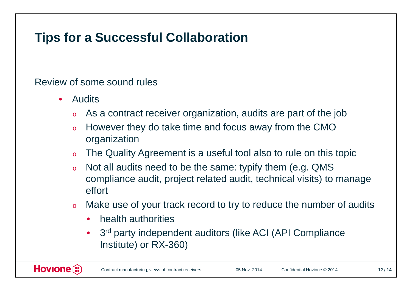## **Tips for a Successful Collaboration**

Review of some sound rules

- $\bullet$  Audits
	- oAs a contract receiver organization, audits are part of the job
	- o However they do take time and focus away from the CMO organization
	- oThe Quality Agreement is a useful tool also to rule on this topic
	- o Not all audits need to be the same: typify them (e.g. QMS compliance audit, project related audit, technical visits) to manage effort
	- o Make use of your track record to try to reduce the number of audits
		- $\bullet$ health authorities
		- $\bullet$ 3<sup>rd</sup> party independent auditors (like ACI (API Compliance Institute) or RX-360)

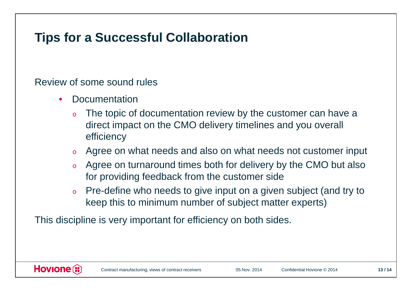## **Tips for a Successful Collaboration**

#### Review of some sound rules

- • Documentation
	- o The topic of documentation review by the customer can have a direct impact on the CMO delivery timelines and you overall efficiency
	- oAgree on what needs and also on what needs not customer input
	- o Agree on turnaround times both for delivery by the CMO but also for providing feedback from the customer side
	- o Pre-define who needs to give input on a given subject (and try to keep this to minimum number of subject matter experts)

This discipline is very important for efficiency on both sides.

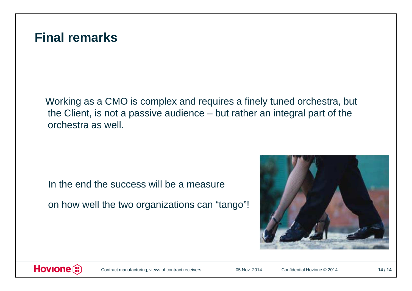#### **Final remarks**

Working as a CMO is complex and requires a finely tuned orchestra, but the Client, is not a passive audience – but rather an integral part of the orchestra as well.

In the end the success will be a measure

on how well the two organizations can "tango"!





Contract manufacturing, views of contract receivers

05.Nov. 2014

Confidential Hovione © 2014 **<sup>14</sup> / 14**